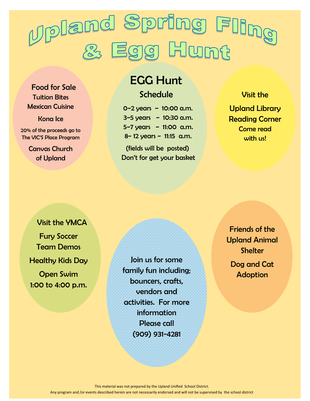

 Food for Sale Tuition Bites Mexican Cuisine

#### Kona Ice

20% of the proceeds go to The VIC'S Place Program

> Canvas Church of Upland

# EGG Hunt

#### **Schedule**

 0~2 years ~ 10:00 a.m.  $3 - 5$  years  $\sim 10:30$  a.m. 5~7 years ~ 11:00 a.m.  $8 - 12$  years  $\sim 11:15$  a.m.

(fields will be posted) Don't for get your basket

#### Visit the

Upland Library Reading Corner Come read with us!

 Visit the YMCA Fury Soccer Team Demos Healthy Kids Day Open Swim

1:00 to 4:00 p.m.

Join us for some family fun including; bouncers, crafts, vendors and activities. For more information Please call (909) 931-4281

Friends of the Upland Animal **Shelter** Dog and Cat Adoption